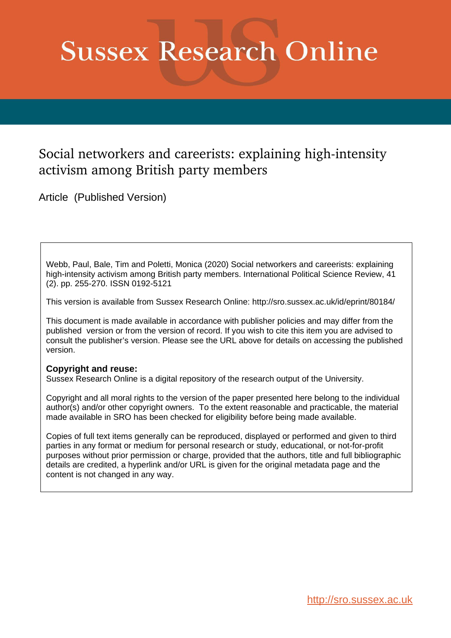# **Sussex Research Online**

# Social networkers and careerists: explaining high-intensity activism among British party members

Article (Published Version)

Webb, Paul, Bale, Tim and Poletti, Monica (2020) Social networkers and careerists: explaining high-intensity activism among British party members. International Political Science Review, 41 (2). pp. 255-270. ISSN 0192-5121

This version is available from Sussex Research Online: http://sro.sussex.ac.uk/id/eprint/80184/

This document is made available in accordance with publisher policies and may differ from the published version or from the version of record. If you wish to cite this item you are advised to consult the publisher's version. Please see the URL above for details on accessing the published version.

## **Copyright and reuse:**

Sussex Research Online is a digital repository of the research output of the University.

Copyright and all moral rights to the version of the paper presented here belong to the individual author(s) and/or other copyright owners. To the extent reasonable and practicable, the material made available in SRO has been checked for eligibility before being made available.

Copies of full text items generally can be reproduced, displayed or performed and given to third parties in any format or medium for personal research or study, educational, or not-for-profit purposes without prior permission or charge, provided that the authors, title and full bibliographic details are credited, a hyperlink and/or URL is given for the original metadata page and the content is not changed in any way.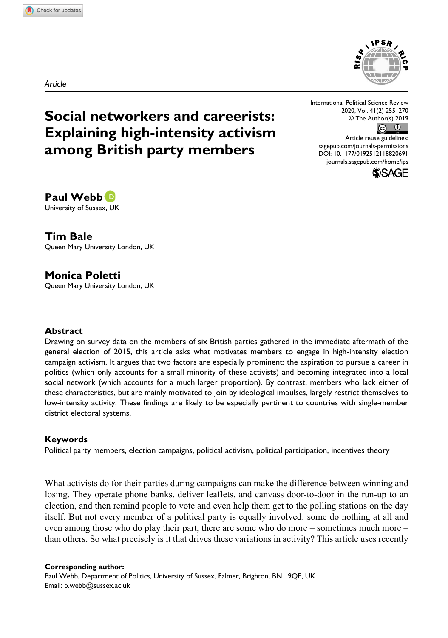*Article*

## **Social networkers and careerists: Explaining high-intensity activism among British party members**

International Political Science Review 2020, Vol. 41(2) 255–270 © The Author(s) 2019

 $\odot$   $\odot$ 

DOI: 10.1177/0192512118820691 Article reuse guidelines: [sagepub.com/journals-permissions](https://uk.sagepub.com/en-gb/journals-permissions) [journals.sagepub.com/home/ips](https://journals.sagepub.com/home/ips)



#### **Paul Webb** University of Sussex, UK

**Tim Bale** Queen Mary University London, UK

**Monica Poletti**

Queen Mary University London, UK

#### **Abstract**

Drawing on survey data on the members of six British parties gathered in the immediate aftermath of the general election of 2015, this article asks what motivates members to engage in high-intensity election campaign activism. It argues that two factors are especially prominent: the aspiration to pursue a career in politics (which only accounts for a small minority of these activists) and becoming integrated into a local social network (which accounts for a much larger proportion). By contrast, members who lack either of these characteristics, but are mainly motivated to join by ideological impulses, largely restrict themselves to low-intensity activity. These findings are likely to be especially pertinent to countries with single-member district electoral systems.

#### **Keywords**

Political party members, election campaigns, political activism, political participation, incentives theory

What activists do for their parties during campaigns can make the difference between winning and losing. They operate phone banks, deliver leaflets, and canvass door-to-door in the run-up to an election, and then remind people to vote and even help them get to the polling stations on the day itself. But not every member of a political party is equally involved: some do nothing at all and even among those who do play their part, there are some who do more – sometimes much more – than others. So what precisely is it that drives these variations in activity? This article uses recently

#### **Corresponding author:**

Paul Webb, Department of Politics, University of Sussex, Falmer, Brighton, BN1 9QE, UK. Email: [p.webb@sussex.ac.uk](mailto:p.webb@sussex.ac.uk)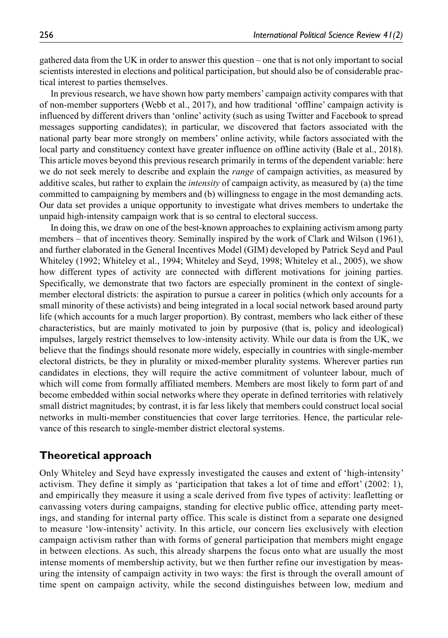gathered data from the UK in order to answer this question – one that is not only important to social scientists interested in elections and political participation, but should also be of considerable practical interest to parties themselves.

In previous research, we have shown how party members' campaign activity compares with that of non-member supporters (Webb et al., 2017), and how traditional 'offline' campaign activity is influenced by different drivers than 'online' activity (such as using Twitter and Facebook to spread messages supporting candidates); in particular, we discovered that factors associated with the national party bear more strongly on members' online activity, while factors associated with the local party and constituency context have greater influence on offline activity (Bale et al., 2018). This article moves beyond this previous research primarily in terms of the dependent variable: here we do not seek merely to describe and explain the *range* of campaign activities, as measured by additive scales, but rather to explain the *intensity* of campaign activity, as measured by (a) the time committed to campaigning by members and (b) willingness to engage in the most demanding acts. Our data set provides a unique opportunity to investigate what drives members to undertake the unpaid high-intensity campaign work that is so central to electoral success.

In doing this, we draw on one of the best-known approaches to explaining activism among party members – that of incentives theory. Seminally inspired by the work of Clark and Wilson (1961), and further elaborated in the General Incentives Model (GIM) developed by Patrick Seyd and Paul Whiteley (1992; Whiteley et al., 1994; Whiteley and Seyd, 1998; Whiteley et al., 2005), we show how different types of activity are connected with different motivations for joining parties. Specifically, we demonstrate that two factors are especially prominent in the context of singlemember electoral districts: the aspiration to pursue a career in politics (which only accounts for a small minority of these activists) and being integrated in a local social network based around party life (which accounts for a much larger proportion). By contrast, members who lack either of these characteristics, but are mainly motivated to join by purposive (that is, policy and ideological) impulses, largely restrict themselves to low-intensity activity. While our data is from the UK, we believe that the findings should resonate more widely, especially in countries with single-member electoral districts, be they in plurality or mixed-member plurality systems. Wherever parties run candidates in elections, they will require the active commitment of volunteer labour, much of which will come from formally affiliated members. Members are most likely to form part of and become embedded within social networks where they operate in defined territories with relatively small district magnitudes; by contrast, it is far less likely that members could construct local social networks in multi-member constituencies that cover large territories. Hence, the particular relevance of this research to single-member district electoral systems.

#### **Theoretical approach**

Only Whiteley and Seyd have expressly investigated the causes and extent of 'high-intensity' activism. They define it simply as 'participation that takes a lot of time and effort' (2002: 1), and empirically they measure it using a scale derived from five types of activity: leafletting or canvassing voters during campaigns, standing for elective public office, attending party meetings, and standing for internal party office. This scale is distinct from a separate one designed to measure 'low-intensity' activity. In this article, our concern lies exclusively with election campaign activism rather than with forms of general participation that members might engage in between elections. As such, this already sharpens the focus onto what are usually the most intense moments of membership activity, but we then further refine our investigation by measuring the intensity of campaign activity in two ways: the first is through the overall amount of time spent on campaign activity, while the second distinguishes between low, medium and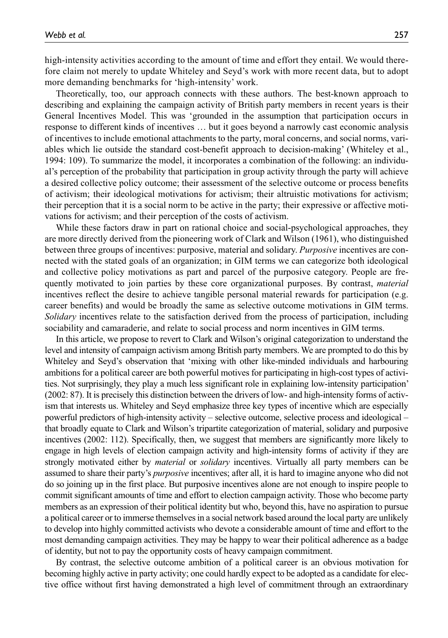high-intensity activities according to the amount of time and effort they entail. We would therefore claim not merely to update Whiteley and Seyd's work with more recent data, but to adopt more demanding benchmarks for 'high-intensity' work.

Theoretically, too, our approach connects with these authors. The best-known approach to describing and explaining the campaign activity of British party members in recent years is their General Incentives Model. This was 'grounded in the assumption that participation occurs in response to different kinds of incentives … but it goes beyond a narrowly cast economic analysis of incentives to include emotional attachments to the party, moral concerns, and social norms, variables which lie outside the standard cost-benefit approach to decision-making' (Whiteley et al., 1994: 109). To summarize the model, it incorporates a combination of the following: an individual's perception of the probability that participation in group activity through the party will achieve a desired collective policy outcome; their assessment of the selective outcome or process benefits of activism; their ideological motivations for activism; their altruistic motivations for activism; their perception that it is a social norm to be active in the party; their expressive or affective motivations for activism; and their perception of the costs of activism.

While these factors draw in part on rational choice and social-psychological approaches, they are more directly derived from the pioneering work of Clark and Wilson (1961), who distinguished between three groups of incentives: purposive, material and solidary. *Purposive* incentives are connected with the stated goals of an organization; in GIM terms we can categorize both ideological and collective policy motivations as part and parcel of the purposive category. People are frequently motivated to join parties by these core organizational purposes. By contrast, *material* incentives reflect the desire to achieve tangible personal material rewards for participation (e.g. career benefits) and would be broadly the same as selective outcome motivations in GIM terms. *Solidary* incentives relate to the satisfaction derived from the process of participation, including sociability and camaraderie, and relate to social process and norm incentives in GIM terms.

In this article, we propose to revert to Clark and Wilson's original categorization to understand the level and intensity of campaign activism among British party members. We are prompted to do this by Whiteley and Seyd's observation that 'mixing with other like-minded individuals and harbouring ambitions for a political career are both powerful motives for participating in high-cost types of activities. Not surprisingly, they play a much less significant role in explaining low-intensity participation' (2002: 87). It is precisely this distinction between the drivers of low- and high-intensity forms of activism that interests us. Whiteley and Seyd emphasize three key types of incentive which are especially powerful predictors of high-intensity activity – selective outcome, selective process and ideological – that broadly equate to Clark and Wilson's tripartite categorization of material, solidary and purposive incentives (2002: 112). Specifically, then, we suggest that members are significantly more likely to engage in high levels of election campaign activity and high-intensity forms of activity if they are strongly motivated either by *material* or *solidary* incentives. Virtually all party members can be assumed to share their party's *purposive* incentives; after all, it is hard to imagine anyone who did not do so joining up in the first place. But purposive incentives alone are not enough to inspire people to commit significant amounts of time and effort to election campaign activity. Those who become party members as an expression of their political identity but who, beyond this, have no aspiration to pursue a political career or to immerse themselves in a social network based around the local party are unlikely to develop into highly committed activists who devote a considerable amount of time and effort to the most demanding campaign activities. They may be happy to wear their political adherence as a badge of identity, but not to pay the opportunity costs of heavy campaign commitment.

By contrast, the selective outcome ambition of a political career is an obvious motivation for becoming highly active in party activity; one could hardly expect to be adopted as a candidate for elective office without first having demonstrated a high level of commitment through an extraordinary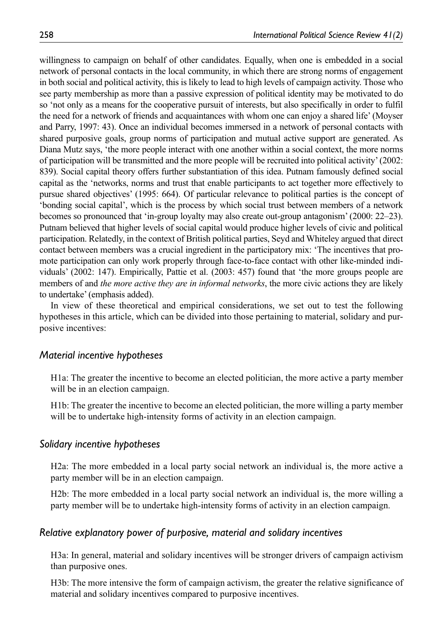willingness to campaign on behalf of other candidates. Equally, when one is embedded in a social network of personal contacts in the local community, in which there are strong norms of engagement in both social and political activity, this is likely to lead to high levels of campaign activity. Those who see party membership as more than a passive expression of political identity may be motivated to do so 'not only as a means for the cooperative pursuit of interests, but also specifically in order to fulfil the need for a network of friends and acquaintances with whom one can enjoy a shared life' (Moyser and Parry, 1997: 43). Once an individual becomes immersed in a network of personal contacts with shared purposive goals, group norms of participation and mutual active support are generated. As Diana Mutz says, 'the more people interact with one another within a social context, the more norms of participation will be transmitted and the more people will be recruited into political activity' (2002: 839). Social capital theory offers further substantiation of this idea. Putnam famously defined social capital as the 'networks, norms and trust that enable participants to act together more effectively to pursue shared objectives' (1995: 664). Of particular relevance to political parties is the concept of 'bonding social capital', which is the process by which social trust between members of a network becomes so pronounced that 'in-group loyalty may also create out-group antagonism' (2000: 22–23). Putnam believed that higher levels of social capital would produce higher levels of civic and political participation. Relatedly, in the context of British political parties, Seyd and Whiteley argued that direct contact between members was a crucial ingredient in the participatory mix: 'The incentives that promote participation can only work properly through face-to-face contact with other like-minded individuals' (2002: 147). Empirically, Pattie et al. (2003: 457) found that 'the more groups people are members of and *the more active they are in informal networks*, the more civic actions they are likely to undertake' (emphasis added).

In view of these theoretical and empirical considerations, we set out to test the following hypotheses in this article, which can be divided into those pertaining to material, solidary and purposive incentives:

#### *Material incentive hypotheses*

H1a: The greater the incentive to become an elected politician, the more active a party member will be in an election campaign.

H1b: The greater the incentive to become an elected politician, the more willing a party member will be to undertake high-intensity forms of activity in an election campaign.

#### *Solidary incentive hypotheses*

H2a: The more embedded in a local party social network an individual is, the more active a party member will be in an election campaign.

H2b: The more embedded in a local party social network an individual is, the more willing a party member will be to undertake high-intensity forms of activity in an election campaign.

#### *Relative explanatory power of purposive, material and solidary incentives*

H3a: In general, material and solidary incentives will be stronger drivers of campaign activism than purposive ones.

H3b: The more intensive the form of campaign activism, the greater the relative significance of material and solidary incentives compared to purposive incentives.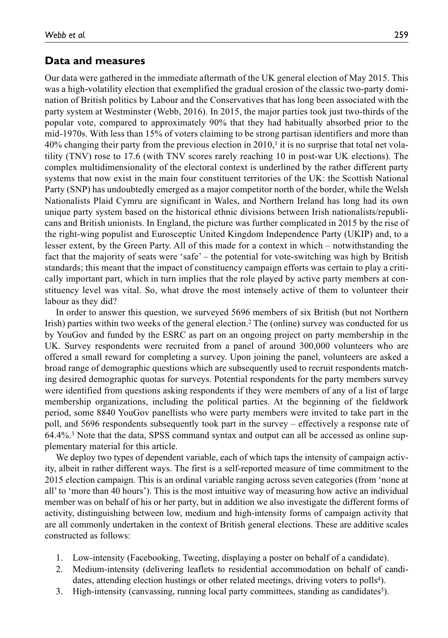#### **Data and measures**

Our data were gathered in the immediate aftermath of the UK general election of May 2015. This was a high-volatility election that exemplified the gradual erosion of the classic two-party domination of British politics by Labour and the Conservatives that has long been associated with the party system at Westminster (Webb, 2016). In 2015, the major parties took just two-thirds of the popular vote, compared to approximately 90% that they had habitually absorbed prior to the mid-1970s. With less than 15% of voters claiming to be strong partisan identifiers and more than  $40\%$  changing their party from the previous election in 2010,<sup>1</sup> it is no surprise that total net volatility (TNV) rose to 17.6 (with TNV scores rarely reaching 10 in post-war UK elections). The complex multidimensionality of the electoral context is underlined by the rather different party systems that now exist in the main four constituent territories of the UK: the Scottish National Party (SNP) has undoubtedly emerged as a major competitor north of the border, while the Welsh Nationalists Plaid Cymru are significant in Wales, and Northern Ireland has long had its own unique party system based on the historical ethnic divisions between Irish nationalists/republicans and British unionists. In England, the picture was further complicated in 2015 by the rise of the right-wing populist and Eurosceptic United Kingdom Independence Party (UKIP) and, to a lesser extent, by the Green Party. All of this made for a context in which – notwithstanding the fact that the majority of seats were 'safe' – the potential for vote-switching was high by British standards; this meant that the impact of constituency campaign efforts was certain to play a critically important part, which in turn implies that the role played by active party members at constituency level was vital. So, what drove the most intensely active of them to volunteer their labour as they did?

In order to answer this question, we surveyed 5696 members of six British (but not Northern Irish) parties within two weeks of the general election.<sup>2</sup> The (online) survey was conducted for us by YouGov and funded by the ESRC as part on an ongoing project on party membership in the UK. Survey respondents were recruited from a panel of around 300,000 volunteers who are offered a small reward for completing a survey. Upon joining the panel, volunteers are asked a broad range of demographic questions which are subsequently used to recruit respondents matching desired demographic quotas for surveys. Potential respondents for the party members survey were identified from questions asking respondents if they were members of any of a list of large membership organizations, including the political parties. At the beginning of the fieldwork period, some 8840 YouGov panellists who were party members were invited to take part in the poll, and 5696 respondents subsequently took part in the survey – effectively a response rate of 64.4%.3 Note that the data, SPSS command syntax and output can all be accessed as online supplementary material for this article.

We deploy two types of dependent variable, each of which taps the intensity of campaign activity, albeit in rather different ways. The first is a self-reported measure of time commitment to the 2015 election campaign. This is an ordinal variable ranging across seven categories (from 'none at all' to 'more than 40 hours'). This is the most intuitive way of measuring how active an individual member was on behalf of his or her party, but in addition we also investigate the different forms of activity, distinguishing between low, medium and high-intensity forms of campaign activity that are all commonly undertaken in the context of British general elections. These are additive scales constructed as follows:

- 1. Low-intensity (Facebooking, Tweeting, displaying a poster on behalf of a candidate).
- 2. Medium-intensity (delivering leaflets to residential accommodation on behalf of candidates, attending election hustings or other related meetings, driving voters to polls<sup>4</sup>).
- 3. High-intensity (canvassing, running local party committees, standing as candidates<sup>5</sup>).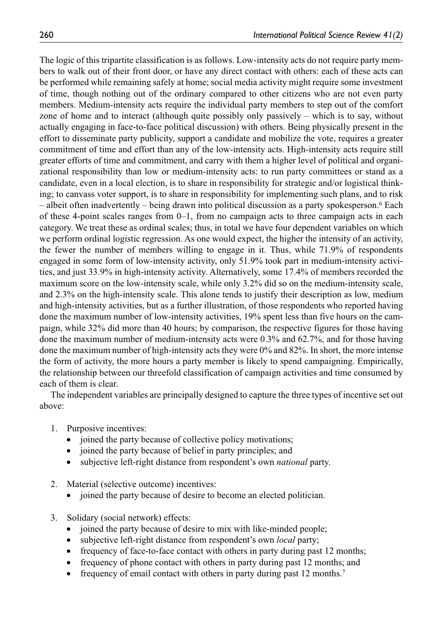The logic of this tripartite classification is as follows. Low-intensity acts do not require party members to walk out of their front door, or have any direct contact with others: each of these acts can be performed while remaining safely at home; social media activity might require some investment of time, though nothing out of the ordinary compared to other citizens who are not even party members. Medium-intensity acts require the individual party members to step out of the comfort zone of home and to interact (although quite possibly only passively – which is to say, without actually engaging in face-to-face political discussion) with others. Being physically present in the effort to disseminate party publicity, support a candidate and mobilize the vote, requires a greater commitment of time and effort than any of the low-intensity acts. High-intensity acts require still greater efforts of time and commitment, and carry with them a higher level of political and organizational responsibility than low or medium-intensity acts: to run party committees or stand as a candidate, even in a local election, is to share in responsibility for strategic and/or logistical thinking; to canvass voter support, is to share in responsibility for implementing such plans, and to risk – albeit often inadvertently – being drawn into political discussion as a party spokesperson.6 Each of these 4-point scales ranges from  $0-1$ , from no campaign acts to three campaign acts in each category. We treat these as ordinal scales; thus, in total we have four dependent variables on which we perform ordinal logistic regression. As one would expect, the higher the intensity of an activity, the fewer the number of members willing to engage in it. Thus, while 71.9% of respondents engaged in some form of low-intensity activity, only 51.9% took part in medium-intensity activities, and just 33.9% in high-intensity activity. Alternatively, some 17.4% of members recorded the maximum score on the low-intensity scale, while only 3.2% did so on the medium-intensity scale, and 2.3% on the high-intensity scale. This alone tends to justify their description as low, medium and high-intensity activities, but as a further illustration, of those respondents who reported having done the maximum number of low-intensity activities, 19% spent less than five hours on the campaign, while 32% did more than 40 hours; by comparison, the respective figures for those having done the maximum number of medium-intensity acts were 0.3% and 62.7%, and for those having done the maximum number of high-intensity acts they were 0% and 82%. In short, the more intense the form of activity, the more hours a party member is likely to spend campaigning. Empirically, the relationship between our threefold classification of campaign activities and time consumed by each of them is clear.

The independent variables are principally designed to capture the three types of incentive set out above:

- 1. Purposive incentives:
	- joined the party because of collective policy motivations;
	- joined the party because of belief in party principles; and
	- subjective left-right distance from respondent's own *national* party.
- 2. Material (selective outcome) incentives:
	- joined the party because of desire to become an elected politician.
- 3. Solidary (social network) effects:
	- joined the party because of desire to mix with like-minded people;
	- subjective left-right distance from respondent's own *local* party;
	- frequency of face-to-face contact with others in party during past 12 months;
	- frequency of phone contact with others in party during past 12 months; and
	- frequency of email contact with others in party during past 12 months.7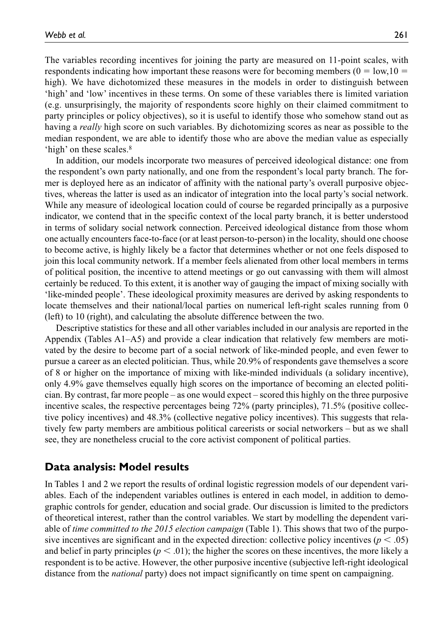The variables recording incentives for joining the party are measured on 11-point scales, with respondents indicating how important these reasons were for becoming members ( $0 = \text{low}, 10 =$ high). We have dichotomized these measures in the models in order to distinguish between 'high' and 'low' incentives in these terms. On some of these variables there is limited variation (e.g. unsurprisingly, the majority of respondents score highly on their claimed commitment to party principles or policy objectives), so it is useful to identify those who somehow stand out as having a *really* high score on such variables. By dichotomizing scores as near as possible to the median respondent, we are able to identify those who are above the median value as especially 'high' on these scales.8

In addition, our models incorporate two measures of perceived ideological distance: one from the respondent's own party nationally, and one from the respondent's local party branch. The former is deployed here as an indicator of affinity with the national party's overall purposive objectives, whereas the latter is used as an indicator of integration into the local party's social network. While any measure of ideological location could of course be regarded principally as a purposive indicator, we contend that in the specific context of the local party branch, it is better understood in terms of solidary social network connection. Perceived ideological distance from those whom one actually encounters face-to-face (or at least person-to-person) in the locality, should one choose to become active, is highly likely be a factor that determines whether or not one feels disposed to join this local community network. If a member feels alienated from other local members in terms of political position, the incentive to attend meetings or go out canvassing with them will almost certainly be reduced. To this extent, it is another way of gauging the impact of mixing socially with 'like-minded people'. These ideological proximity measures are derived by asking respondents to locate themselves and their national/local parties on numerical left-right scales running from 0 (left) to 10 (right), and calculating the absolute difference between the two.

Descriptive statistics for these and all other variables included in our analysis are reported in the Appendix (Tables A1–A5) and provide a clear indication that relatively few members are motivated by the desire to become part of a social network of like-minded people, and even fewer to pursue a career as an elected politician. Thus, while 20.9% of respondents gave themselves a score of 8 or higher on the importance of mixing with like-minded individuals (a solidary incentive), only 4.9% gave themselves equally high scores on the importance of becoming an elected politician. By contrast, far more people – as one would expect – scored this highly on the three purposive incentive scales, the respective percentages being 72% (party principles), 71.5% (positive collective policy incentives) and 48.3% (collective negative policy incentives). This suggests that relatively few party members are ambitious political careerists or social networkers – but as we shall see, they are nonetheless crucial to the core activist component of political parties.

#### **Data analysis: Model results**

In Tables 1 and 2 we report the results of ordinal logistic regression models of our dependent variables. Each of the independent variables outlines is entered in each model, in addition to demographic controls for gender, education and social grade. Our discussion is limited to the predictors of theoretical interest, rather than the control variables. We start by modelling the dependent variable of *time committed to the 2015 election campaign* (Table 1). This shows that two of the purposive incentives are significant and in the expected direction: collective policy incentives ( $p < .05$ ) and belief in party principles ( $p < .01$ ); the higher the scores on these incentives, the more likely a respondent is to be active. However, the other purposive incentive (subjective left-right ideological distance from the *national* party) does not impact significantly on time spent on campaigning.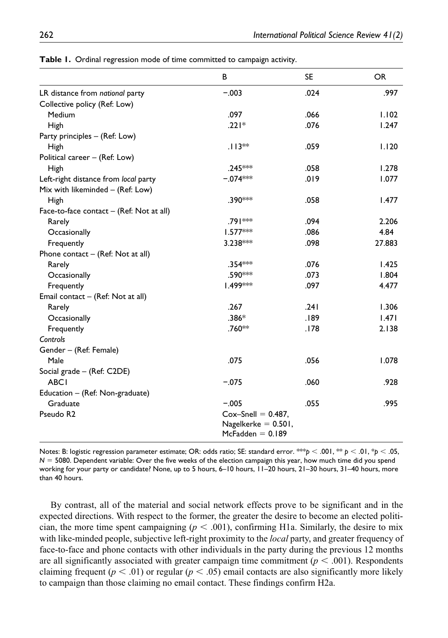|                                            | B                                                                     | <b>SE</b> | OR.    |
|--------------------------------------------|-----------------------------------------------------------------------|-----------|--------|
| LR distance from national party            | $-.003$                                                               | .024      | .997   |
| Collective policy (Ref: Low)               |                                                                       |           |        |
| Medium                                     | .097                                                                  | .066      | 1.102  |
| High                                       | $.221*$                                                               | .076      | 1.247  |
| Party principles – (Ref: Low)              |                                                                       |           |        |
| High                                       | $.113**$                                                              | .059      | 1.120  |
| Political career - (Ref: Low)              |                                                                       |           |        |
| High                                       | .245 ***                                                              | .058      | 1.278  |
| Left-right distance from local party       | $-.074***$                                                            | .019      | 1.077  |
| Mix with likeminded - (Ref: Low)           |                                                                       |           |        |
| High                                       | .390***                                                               | .058      | 1.477  |
| Face-to-face contact $-$ (Ref: Not at all) |                                                                       |           |        |
| Rarely                                     | .791 **                                                               | .094      | 2.206  |
| Occasionally                               | $1.577***$                                                            | .086      | 4.84   |
| Frequently                                 | $3.238***$                                                            | .098      | 27.883 |
| Phone contact $-$ (Ref: Not at all)        |                                                                       |           |        |
| Rarely                                     | .354***                                                               | .076      | 1.425  |
| Occasionally                               | .590 <sup>***</sup>                                                   | .073      | 1.804  |
| Frequently                                 | 1.499***                                                              | .097      | 4.477  |
| Email contact - (Ref: Not at all)          |                                                                       |           |        |
| Rarely                                     | .267                                                                  | .241      | 1.306  |
| Occasionally                               | $.386*$                                                               | .189      | 1.471  |
| Frequently                                 | .760**                                                                | .178      | 2.138  |
| Controls                                   |                                                                       |           |        |
| Gender - (Ref: Female)                     |                                                                       |           |        |
| Male                                       | .075                                                                  | .056      | 1.078  |
| Social grade - (Ref: C2DE)                 |                                                                       |           |        |
| <b>ABCI</b>                                | $-.075$                                                               | .060      | .928   |
| Education – (Ref: Non-graduate)            |                                                                       |           |        |
| Graduate                                   | $-.005$                                                               | .055      | .995   |
| Pseudo R <sub>2</sub>                      | $Cox-Snell = 0.487$ ,<br>Nagelkerke $= 0.501$ ,<br>$McFadden = 0.189$ |           |        |

**Table 1.** Ordinal regression mode of time committed to campaign activity.

Notes: B: logistic regression parameter estimate; OR: odds ratio; SE: standard error. \*\*\**p* < .001, \*\* *p* < .01, \**p* < .05, *N* = 5080. Dependent variable: Over the five weeks of the election campaign this year, how much time did you spend working for your party or candidate? None, up to 5 hours, 6–10 hours, 11–20 hours, 21–30 hours, 31–40 hours, more than 40 hours.

By contrast, all of the material and social network effects prove to be significant and in the expected directions. With respect to the former, the greater the desire to become an elected politician, the more time spent campaigning  $(p < .001)$ , confirming H1a. Similarly, the desire to mix with like-minded people, subjective left-right proximity to the *local* party, and greater frequency of face-to-face and phone contacts with other individuals in the party during the previous 12 months are all significantly associated with greater campaign time commitment  $(p < .001)$ . Respondents claiming frequent ( $p < .01$ ) or regular ( $p < .05$ ) email contacts are also significantly more likely to campaign than those claiming no email contact. These findings confirm H2a.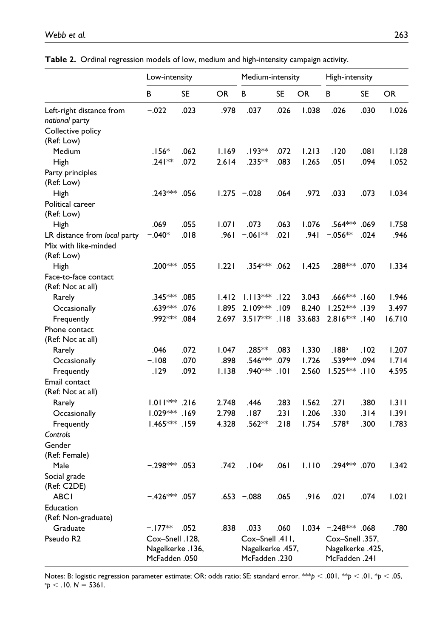|                                                                    | Low-intensity                                        |           | Medium-intensity |                                                      | High-intensity |           |                                                      |           |           |
|--------------------------------------------------------------------|------------------------------------------------------|-----------|------------------|------------------------------------------------------|----------------|-----------|------------------------------------------------------|-----------|-----------|
|                                                                    | B                                                    | <b>SE</b> | <b>OR</b>        | B                                                    | <b>SE</b>      | <b>OR</b> | B                                                    | <b>SE</b> | <b>OR</b> |
| Left-right distance from<br>national party                         | $-.022$                                              | .023      | .978             | .037                                                 | .026           | 1.038     | .026                                                 | .030      | 1.026     |
| Collective policy                                                  |                                                      |           |                  |                                                      |                |           |                                                      |           |           |
| (Ref: Low)                                                         |                                                      |           |                  |                                                      |                |           |                                                      |           |           |
| Medium                                                             | $.156*$                                              | .062      | 1.169            | .193**                                               | .072           | 1.213     | .120                                                 | .081      | 1.128     |
| High                                                               | $.241**$                                             | .072      | 2.614            | .235**                                               | .083           | 1.265     | .051                                                 | .094      | 1.052     |
| Party principles<br>(Ref: Low)                                     |                                                      |           |                  |                                                      |                |           |                                                      |           |           |
| High                                                               | .243*** .056                                         |           |                  | $1.275 - 0.028$                                      | .064           | .972      | .033                                                 | .073      | 1.034     |
| Political career<br>(Ref: Low)                                     |                                                      |           |                  |                                                      |                |           |                                                      |           |           |
| High                                                               | .069                                                 | .055      | 1.071            | .073                                                 | .063           | 1.076     | .564***                                              | .069      | 1.758     |
| LR distance from local party<br>Mix with like-minded<br>(Ref: Low) | $-.040*$                                             | .018      | .961             | $-.061**$                                            | .021           | .941      | $-.056**$                                            | .024      | .946      |
| High                                                               | .200*** .055                                         |           | 1.221            | .354***                                              | .062           | 1.425     | .288*** .070                                         |           | 1.334     |
| Face-to-face contact<br>(Ref: Not at all)                          |                                                      |           |                  |                                                      |                |           |                                                      |           |           |
| Rarely                                                             | .345*** .085                                         |           | 1.412            | $1.113***.122$                                       |                | 3.043     | $.666$ ***                                           | 160.      | 1.946     |
| Occasionally                                                       | .639***                                              | .076      | 1.895            | 2.109***                                             | 109.           | 8.240     | $1.252***$                                           | .139      | 3.497     |
| Frequently                                                         | .992 ***                                             | .084      | 2.697            | $3.517***$                                           | .118           | 33.683    | $2.816***$                                           | 140.      | 16.710    |
| Phone contact<br>(Ref: Not at all)                                 |                                                      |           |                  |                                                      |                |           |                                                      |           |           |
| Rarely                                                             | .046                                                 | .072      | 1.047            | .285**                                               | .083           | 1.330     | .188 <sup>a</sup>                                    | .102      | 1.207     |
| Occasionally                                                       | $-.108$                                              | .070      | .898             | .546***                                              | .079           | 1.726     | .539***                                              | .094      | 1.714     |
| Frequently                                                         | .129                                                 | .092      | 1.138            | .940***                                              | .101           | 2.560     | $1.525***$                                           | .110      | 4.595     |
| Email contact<br>(Ref: Not at all)                                 |                                                      |           |                  |                                                      |                |           |                                                      |           |           |
| Rarely                                                             | $1.011***$ .216                                      |           | 2.748            | .446                                                 | .283           | 1.562     | .271                                                 | .380      | 1.311     |
| Occasionally                                                       | $1.029***$                                           | 169.      | 2.798            | .187                                                 | .231           | 1.206     | .330                                                 | .314      | 1.391     |
| Frequently                                                         | $1.465***$                                           | .159      | 4.328            | .562**                                               | .218           | 1.754     | .578*                                                | .300      | 1.783     |
| Controls                                                           |                                                      |           |                  |                                                      |                |           |                                                      |           |           |
| Gender                                                             |                                                      |           |                  |                                                      |                |           |                                                      |           |           |
| (Ref: Female)                                                      |                                                      |           |                  |                                                      |                |           |                                                      |           |           |
| Male                                                               | $-0.298***053$                                       |           | .742             | .104 <sup>a</sup>                                    | .061           | 1.110     | .294*** .070                                         |           | 1.342     |
| Social grade                                                       |                                                      |           |                  |                                                      |                |           |                                                      |           |           |
| (Ref: C2DE)                                                        |                                                      |           |                  |                                                      |                |           |                                                      |           |           |
| <b>ABCI</b>                                                        | $-.426***$ .057                                      |           |                  | $.653 - .088$                                        | .065           | .916      | .021                                                 | .074      | 1.021     |
| Education<br>(Ref: Non-graduate)                                   |                                                      |           |                  |                                                      |                |           |                                                      |           |           |
| Graduate                                                           | –.I77**                                              | .052      | .838             | .033                                                 | .060           |           | $1.034$ $-.248***$ .068                              |           | .780      |
| Pseudo R2                                                          | Cox-Snell .128,<br>Nagelkerke .136,<br>McFadden .050 |           |                  | Cox-Snell .411,<br>Nagelkerke .457,<br>McFadden .230 |                |           | Cox-Snell .357,<br>,425. Nagelkerke<br>McFadden .241 |           |           |

|  | Table 2. Ordinal regression models of low, medium and high-intensity campaign activity. |  |  |  |  |
|--|-----------------------------------------------------------------------------------------|--|--|--|--|
|--|-----------------------------------------------------------------------------------------|--|--|--|--|

Notes: B: logistic regression parameter estimate; OR: odds ratio; SE: standard error. \*\*\**<sup>p</sup>* <sup>&</sup>lt; .001, \*\**<sup>p</sup>* <sup>&</sup>lt; .01, \**<sup>p</sup>* <sup>&</sup>lt; .05, a  $^{p}$  < .10. *N* = 5361.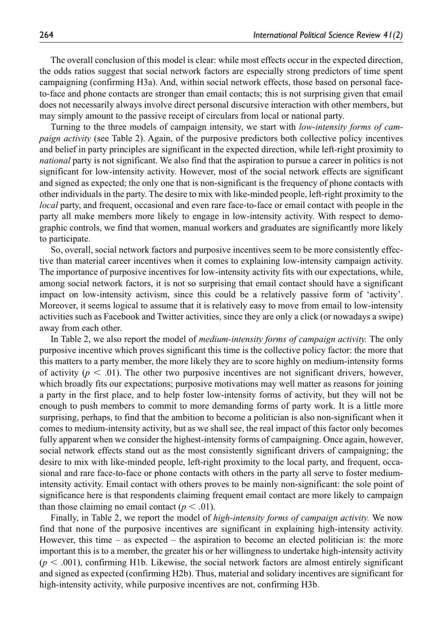The overall conclusion of this model is clear: while most effects occur in the expected direction, the odds ratios suggest that social network factors are especially strong predictors of time spent campaigning (confirming H3a). And, within social network effects, those based on personal faceto-face and phone contacts are stronger than email contacts; this is not surprising given that email does not necessarily always involve direct personal discursive interaction with other members, but may simply amount to the passive receipt of circulars from local or national party.

Turning to the three models of campaign intensity, we start with *low-intensity forms of campaign activity* (see Table 2). Again, of the purposive predictors both collective policy incentives and belief in party principles are significant in the expected direction, while left-right proximity to *national* party is not significant. We also find that the aspiration to pursue a career in politics is not significant for low-intensity activity. However, most of the social network effects are significant and signed as expected; the only one that is non-significant is the frequency of phone contacts with other individuals in the party. The desire to mix with like-minded people, left-right proximity to the *local* party, and frequent, occasional and even rare face-to-face or email contact with people in the party all make members more likely to engage in low-intensity activity. With respect to demographic controls, we find that women, manual workers and graduates are significantly more likely to participate.

So, overall, social network factors and purposive incentives seem to be more consistently effective than material career incentives when it comes to explaining low-intensity campaign activity. The importance of purposive incentives for low-intensity activity fits with our expectations, while, among social network factors, it is not so surprising that email contact should have a significant impact on low-intensity activism, since this could be a relatively passive form of 'activity'. Moreover, it seems logical to assume that it is relatively easy to move from email to low-intensity activities such as Facebook and Twitter activities, since they are only a click (or nowadays a swipe) away from each other.

In Table 2, we also report the model of *medium-intensity forms of campaign activity.* The only purposive incentive which proves significant this time is the collective policy factor: the more that this matters to a party member, the more likely they are to score highly on medium-intensity forms of activity  $(p < .01)$ . The other two purposive incentives are not significant drivers, however, which broadly fits our expectations; purposive motivations may well matter as reasons for joining a party in the first place, and to help foster low-intensity forms of activity, but they will not be enough to push members to commit to more demanding forms of party work. It is a little more surprising, perhaps, to find that the ambition to become a politician is also non-significant when it comes to medium-intensity activity, but as we shall see, the real impact of this factor only becomes fully apparent when we consider the highest-intensity forms of campaigning. Once again, however, social network effects stand out as the most consistently significant drivers of campaigning; the desire to mix with like-minded people, left-right proximity to the local party, and frequent, occasional and rare face-to-face or phone contacts with others in the party all serve to foster mediumintensity activity. Email contact with others proves to be mainly non-significant: the sole point of significance here is that respondents claiming frequent email contact are more likely to campaign than those claiming no email contact  $(p < .01)$ .

Finally, in Table 2, we report the model of *high-intensity forms of campaign activity.* We now find that none of the purposive incentives are significant in explaining high-intensity activity. However, this time – as expected – the aspiration to become an elected politician is: the more important this is to a member, the greater his or her willingness to undertake high-intensity activity  $(p < .001)$ , confirming H1b. Likewise, the social network factors are almost entirely significant and signed as expected (confirming H2b). Thus, material and solidary incentives are significant for high-intensity activity, while purposive incentives are not, confirming H3b.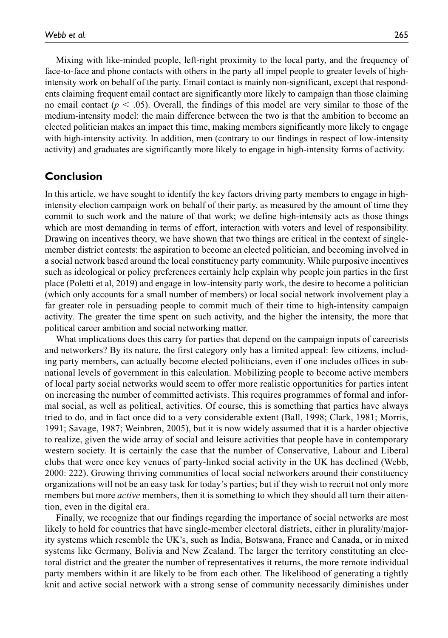Mixing with like-minded people, left-right proximity to the local party, and the frequency of face-to-face and phone contacts with others in the party all impel people to greater levels of highintensity work on behalf of the party. Email contact is mainly non-significant, except that respondents claiming frequent email contact are significantly more likely to campaign than those claiming no email contact ( $p < .05$ ). Overall, the findings of this model are very similar to those of the medium-intensity model: the main difference between the two is that the ambition to become an elected politician makes an impact this time, making members significantly more likely to engage with high-intensity activity. In addition, men (contrary to our findings in respect of low-intensity activity) and graduates are significantly more likely to engage in high-intensity forms of activity.

#### **Conclusion**

In this article, we have sought to identify the key factors driving party members to engage in highintensity election campaign work on behalf of their party, as measured by the amount of time they commit to such work and the nature of that work; we define high-intensity acts as those things which are most demanding in terms of effort, interaction with voters and level of responsibility. Drawing on incentives theory, we have shown that two things are critical in the context of singlemember district contests: the aspiration to become an elected politician, and becoming involved in a social network based around the local constituency party community. While purposive incentives such as ideological or policy preferences certainly help explain why people join parties in the first place (Poletti et al, 2019) and engage in low-intensity party work, the desire to become a politician (which only accounts for a small number of members) or local social network involvement play a far greater role in persuading people to commit much of their time to high-intensity campaign activity. The greater the time spent on such activity, and the higher the intensity, the more that political career ambition and social networking matter.

What implications does this carry for parties that depend on the campaign inputs of careerists and networkers? By its nature, the first category only has a limited appeal: few citizens, including party members, can actually become elected politicians, even if one includes offices in subnational levels of government in this calculation. Mobilizing people to become active members of local party social networks would seem to offer more realistic opportunities for parties intent on increasing the number of committed activists. This requires programmes of formal and informal social, as well as political, activities. Of course, this is something that parties have always tried to do, and in fact once did to a very considerable extent (Ball, 1998; Clark, 1981; Morris, 1991; Savage, 1987; Weinbren, 2005), but it is now widely assumed that it is a harder objective to realize, given the wide array of social and leisure activities that people have in contemporary western society. It is certainly the case that the number of Conservative, Labour and Liberal clubs that were once key venues of party-linked social activity in the UK has declined (Webb, 2000: 222). Growing thriving communities of local social networkers around their constituency organizations will not be an easy task for today's parties; but if they wish to recruit not only more members but more *active* members, then it is something to which they should all turn their attention, even in the digital era.

Finally, we recognize that our findings regarding the importance of social networks are most likely to hold for countries that have single-member electoral districts, either in plurality/majority systems which resemble the UK's, such as India, Botswana, France and Canada, or in mixed systems like Germany, Bolivia and New Zealand. The larger the territory constituting an electoral district and the greater the number of representatives it returns, the more remote individual party members within it are likely to be from each other. The likelihood of generating a tightly knit and active social network with a strong sense of community necessarily diminishes under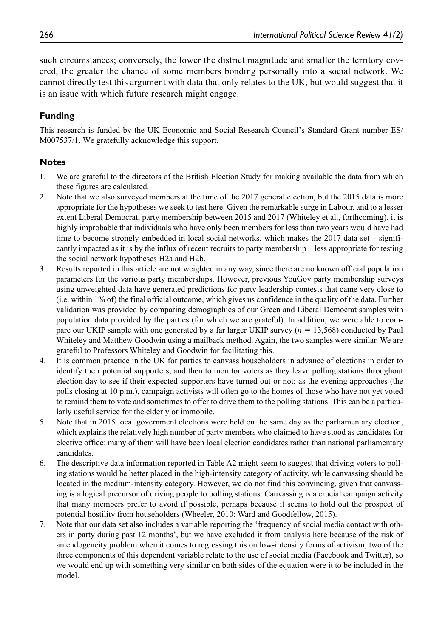such circumstances; conversely, the lower the district magnitude and smaller the territory covered, the greater the chance of some members bonding personally into a social network. We cannot directly test this argument with data that only relates to the UK, but would suggest that it is an issue with which future research might engage.

#### **Funding**

This research is funded by the UK Economic and Social Research Council's Standard Grant number ES/ M007537/1. We gratefully acknowledge this support.

#### **Notes**

- 1. We are grateful to the directors of the British Election Study for making available the data from which these figures are calculated.
- 2. Note that we also surveyed members at the time of the 2017 general election, but the 2015 data is more appropriate for the hypotheses we seek to test here. Given the remarkable surge in Labour, and to a lesser extent Liberal Democrat, party membership between 2015 and 2017 (Whiteley et al., forthcoming), it is highly improbable that individuals who have only been members for less than two years would have had time to become strongly embedded in local social networks, which makes the  $2017$  data set – significantly impacted as it is by the influx of recent recruits to party membership – less appropriate for testing the social network hypotheses H2a and H2b.
- 3. Results reported in this article are not weighted in any way, since there are no known official population parameters for the various party memberships. However, previous YouGov party membership surveys using unweighted data have generated predictions for party leadership contests that came very close to (i.e. within 1% of) the final official outcome, which gives us confidence in the quality of the data. Further validation was provided by comparing demographics of our Green and Liberal Democrat samples with population data provided by the parties (for which we are grateful). In addition, we were able to compare our UKIP sample with one generated by a far larger UKIP survey (*n* = 13,568) conducted by Paul Whiteley and Matthew Goodwin using a mailback method. Again, the two samples were similar. We are grateful to Professors Whiteley and Goodwin for facilitating this.
- 4. It is common practice in the UK for parties to canvass householders in advance of elections in order to identify their potential supporters, and then to monitor voters as they leave polling stations throughout election day to see if their expected supporters have turned out or not; as the evening approaches (the polls closing at 10 p.m.), campaign activists will often go to the homes of those who have not yet voted to remind them to vote and sometimes to offer to drive them to the polling stations. This can be a particularly useful service for the elderly or immobile.
- 5. Note that in 2015 local government elections were held on the same day as the parliamentary election, which explains the relatively high number of party members who claimed to have stood as candidates for elective office: many of them will have been local election candidates rather than national parliamentary candidates.
- 6. The descriptive data information reported in Table A2 might seem to suggest that driving voters to polling stations would be better placed in the high-intensity category of activity, while canvassing should be located in the medium-intensity category. However, we do not find this convincing, given that canvassing is a logical precursor of driving people to polling stations. Canvassing is a crucial campaign activity that many members prefer to avoid if possible, perhaps because it seems to hold out the prospect of potential hostility from householders (Wheeler, 2010; Ward and Goodfellow, 2015).
- 7. Note that our data set also includes a variable reporting the 'frequency of social media contact with others in party during past 12 months', but we have excluded it from analysis here because of the risk of an endogeneity problem when it comes to regressing this on low-intensity forms of activism; two of the three components of this dependent variable relate to the use of social media (Facebook and Twitter), so we would end up with something very similar on both sides of the equation were it to be included in the model.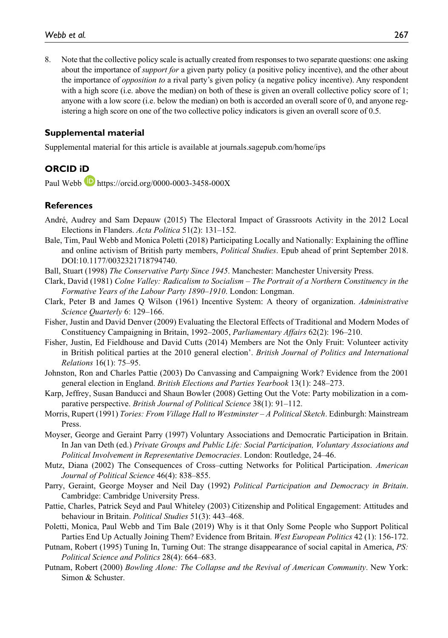8. Note that the collective policy scale is actually created from responses to two separate questions: one asking about the importance of *support for* a given party policy (a positive policy incentive), and the other about the importance of *opposition to* a rival party's given policy (a negative policy incentive). Any respondent with a high score (i.e. above the median) on both of these is given an overall collective policy score of 1; anyone with a low score (i.e. below the median) on both is accorded an overall score of 0, and anyone registering a high score on one of the two collective policy indicators is given an overall score of 0.5.

#### **Supplemental material**

Supplemental material for this article is available at journals.sagepub.com/home/ips

#### **ORCID iD**

Paul Webb <https://orcid.org/0000-0003-3458-000X>

#### **References**

- André, Audrey and Sam Depauw (2015) The Electoral Impact of Grassroots Activity in the 2012 Local Elections in Flanders. *Acta Politica* 51(2): 131–152.
- Bale, Tim, Paul Webb and Monica Poletti (2018) Participating Locally and Nationally: Explaining the offline and online activism of British party members, *Political Studies*. Epub ahead of print September 2018. DOI:10.1177/0032321718794740.
- Ball, Stuart (1998) *The Conservative Party Since 1945*. Manchester: Manchester University Press.
- Clark, David (1981) *Colne Valley: Radicalism to Socialism The Portrait of a Northern Constituency in the Formative Years of the Labour Party 1890–1910*. London: Longman.
- Clark, Peter B and James Q Wilson (1961) Incentive System: A theory of organization. *Administrative Science Quarterly* 6: 129–166.
- Fisher, Justin and David Denver (2009) Evaluating the Electoral Effects of Traditional and Modern Modes of Constituency Campaigning in Britain, 1992–2005, *Parliamentary Affairs* 62(2): 196–210.
- Fisher, Justin, Ed Fieldhouse and David Cutts (2014) Members are Not the Only Fruit: Volunteer activity in British political parties at the 2010 general election'. *British Journal of Politics and International Relations* 16(1): 75–95.
- Johnston, Ron and Charles Pattie (2003) Do Canvassing and Campaigning Work? Evidence from the 2001 general election in England. *British Elections and Parties Yearbook* 13(1): 248–273.
- Karp, Jeffrey, Susan Banducci and Shaun Bowler (2008) Getting Out the Vote: Party mobilization in a comparative perspective. *British Journal of Political Science* 38(1): 91–112.
- Morris, Rupert (1991) *Tories: From Village Hall to Westminster A Political Sketch*. Edinburgh: Mainstream Press.
- Moyser, George and Geraint Parry (1997) Voluntary Associations and Democratic Participation in Britain. In Jan van Deth (ed.) *Private Groups and Public Life: Social Participation, Voluntary Associations and Political Involvement in Representative Democracies*. London: Routledge, 24–46.
- Mutz, Diana (2002) The Consequences of Cross–cutting Networks for Political Participation. *American Journal of Political Science* 46(4): 838–855.
- Parry, Geraint, George Moyser and Neil Day (1992) *Political Participation and Democracy in Britain*. Cambridge: Cambridge University Press.
- Pattie, Charles, Patrick Seyd and Paul Whiteley (2003) Citizenship and Political Engagement: Attitudes and behaviour in Britain. *Political Studies* 51(3): 443–468.
- Poletti, Monica, Paul Webb and Tim Bale (2019) Why is it that Only Some People who Support Political Parties End Up Actually Joining Them? Evidence from Britain. *West European Politics* 42 (1): 156-172.
- Putnam, Robert (1995) Tuning In, Turning Out: The strange disappearance of social capital in America, *PS: Political Science and Politics* 28(4): 664–683.
- Putnam, Robert (2000) *Bowling Alone: The Collapse and the Revival of American Community*. New York: Simon & Schuster.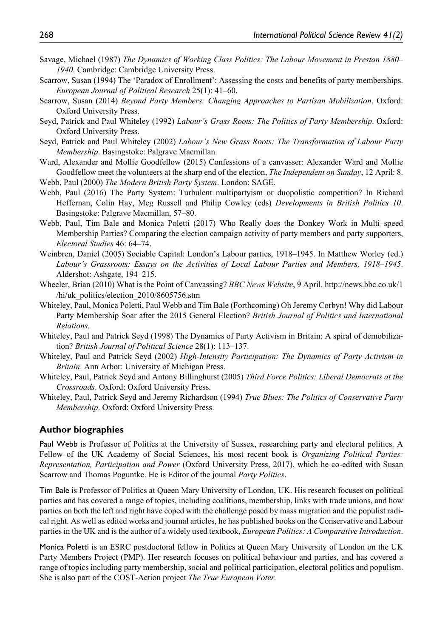- Savage, Michael (1987) *The Dynamics of Working Class Politics: The Labour Movement in Preston 1880– 1940*. Cambridge: Cambridge University Press.
- Scarrow, Susan (1994) The 'Paradox of Enrollment': Assessing the costs and benefits of party memberships. *European Journal of Political Research* 25(1): 41–60.
- Scarrow, Susan (2014) *Beyond Party Members: Changing Approaches to Partisan Mobilization*. Oxford: Oxford University Press.
- Seyd, Patrick and Paul Whiteley (1992) *Labour's Grass Roots: The Politics of Party Membership*. Oxford: Oxford University Press.
- Seyd, Patrick and Paul Whiteley (2002) *Labour's New Grass Roots: The Transformation of Labour Party Membership*. Basingstoke: Palgrave Macmillan.
- Ward, Alexander and Mollie Goodfellow (2015) Confessions of a canvasser: Alexander Ward and Mollie Goodfellow meet the volunteers at the sharp end of the election, *The Independent on Sunday*, 12 April: 8. Webb, Paul (2000) *The Modern British Party System*. London: SAGE.
- Webb, Paul (2016) The Party System: Turbulent multipartyism or duopolistic competition? In Richard Heffernan, Colin Hay, Meg Russell and Philip Cowley (eds) *Developments in British Politics 10*. Basingstoke: Palgrave Macmillan, 57–80.
- Webb, Paul, Tim Bale and Monica Poletti (2017) Who Really does the Donkey Work in Multi–speed Membership Parties? Comparing the election campaign activity of party members and party supporters, *Electoral Studies* 46: 64–74.
- Weinbren, Daniel (2005) Sociable Capital: London's Labour parties, 1918–1945. In Matthew Worley (ed.) *Labour's Grassroots: Essays on the Activities of Local Labour Parties and Members, 1918–1945*. Aldershot: Ashgate, 194–215.
- Wheeler, Brian (2010) What is the Point of Canvassing? *BBC News Website*, 9 April. [http://news.bbc.co.uk/1](http://news.bbc.co.uk/1/hi/uk_politics/election_2010/8605756.stm) [/hi/uk\\_politics/election\\_2010/8605756.stm](http://news.bbc.co.uk/1/hi/uk_politics/election_2010/8605756.stm)
- Whiteley, Paul, Monica Poletti, Paul Webb and Tim Bale (Forthcoming) Oh Jeremy Corbyn! Why did Labour Party Membership Soar after the 2015 General Election? *British Journal of Politics and International Relations*.
- Whiteley, Paul and Patrick Seyd (1998) The Dynamics of Party Activism in Britain: A spiral of demobilization? *British Journal of Political Science* 28(1): 113–137.
- Whiteley, Paul and Patrick Seyd (2002) *High-Intensity Participation: The Dynamics of Party Activism in Britain*. Ann Arbor: University of Michigan Press.
- Whiteley, Paul, Patrick Seyd and Antony Billinghurst (2005) *Third Force Politics: Liberal Democrats at the Crossroads*. Oxford: Oxford University Press.
- Whiteley, Paul, Patrick Seyd and Jeremy Richardson (1994) *True Blues: The Politics of Conservative Party Membership*. Oxford: Oxford University Press.

#### **Author biographies**

Paul Webb is Professor of Politics at the University of Sussex, researching party and electoral politics. A Fellow of the UK Academy of Social Sciences, his most recent book is *Organizing Political Parties: Representation, Participation and Power* (Oxford University Press, 2017), which he co-edited with Susan Scarrow and Thomas Poguntke. He is Editor of the journal *Party Politics*.

Tim Bale is Professor of Politics at Queen Mary University of London, UK. His research focuses on political parties and has covered a range of topics, including coalitions, membership, links with trade unions, and how parties on both the left and right have coped with the challenge posed by mass migration and the populist radical right. As well as edited works and journal articles, he has published books on the Conservative and Labour parties in the UK and is the author of a widely used textbook, *European Politics: A Comparative Introduction*.

Monica Poletti is an ESRC postdoctoral fellow in Politics at Queen Mary University of London on the UK Party Members Project (PMP). Her research focuses on political behaviour and parties, and has covered a range of topics including party membership, social and political participation, electoral politics and populism. She is also part of the COST-Action project *The True European Voter.*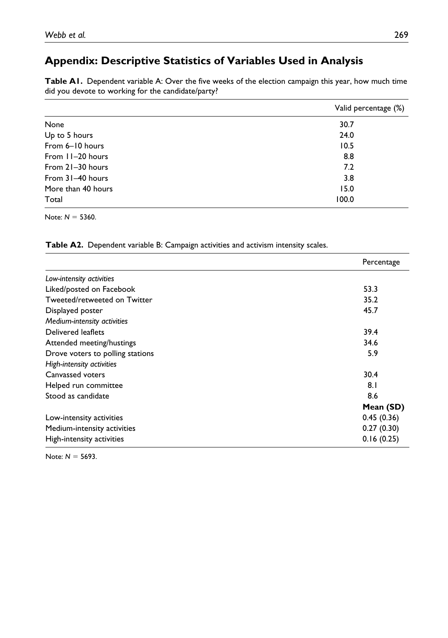### **Appendix: Descriptive Statistics of Variables Used in Analysis**

**Table A1.** Dependent variable A: Over the five weeks of the election campaign this year, how much time did you devote to working for the candidate/party?

|                    | Valid percentage (%) |
|--------------------|----------------------|
| None               | 30.7                 |
| Up to 5 hours      | 24.0                 |
| From 6-10 hours    | 10.5                 |
| From 11-20 hours   | 8.8                  |
| From 21-30 hours   | 7.2                  |
| From 31-40 hours   | 3.8                  |
| More than 40 hours | 15.0                 |
| Total              | 100.0                |

Note: *N* = 5360.

Table A2. Dependent variable B: Campaign activities and activism intensity scales.

|                                  | Percentage |
|----------------------------------|------------|
| Low-intensity activities         |            |
| Liked/posted on Facebook         | 53.3       |
| Tweeted/retweeted on Twitter     | 35.2       |
| Displayed poster                 | 45.7       |
| Medium-intensity activities      |            |
| Delivered leaflets               | 39.4       |
| Attended meeting/hustings        | 34.6       |
| Drove voters to polling stations | 5.9        |
| High-intensity activities        |            |
| Canvassed voters                 | 30.4       |
| Helped run committee             | 8.1        |
| Stood as candidate               | 8.6        |
|                                  | Mean (SD)  |
| Low-intensity activities         | 0.45(0.36) |
| Medium-intensity activities      | 0.27(0.30) |
| High-intensity activities        | 0.16(0.25) |

Note: *N* = 5693.